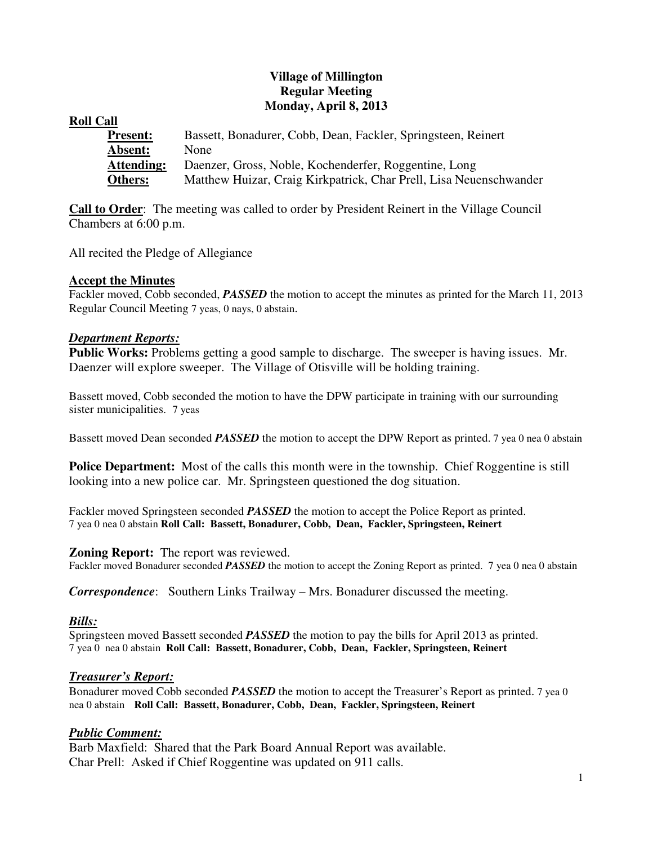# **Village of Millington Regular Meeting Monday, April 8, 2013**

## **Roll Call**

| <b>Present:</b> | Bassett, Bonadurer, Cobb, Dean, Fackler, Springsteen, Reinert      |
|-----------------|--------------------------------------------------------------------|
| <b>Absent:</b>  | <b>None</b>                                                        |
| Attending:      | Daenzer, Gross, Noble, Kochenderfer, Roggentine, Long              |
| <b>Others:</b>  | Matthew Huizar, Craig Kirkpatrick, Char Prell, Lisa Neuenschwander |

**Call to Order**: The meeting was called to order by President Reinert in the Village Council Chambers at 6:00 p.m.

All recited the Pledge of Allegiance

## **Accept the Minutes**

Fackler moved, Cobb seconded, *PASSED* the motion to accept the minutes as printed for the March 11, 2013 Regular Council Meeting 7 yeas, 0 nays, 0 abstain.

### *Department Reports:*

**Public Works:** Problems getting a good sample to discharge. The sweeper is having issues. Mr. Daenzer will explore sweeper. The Village of Otisville will be holding training.

Bassett moved, Cobb seconded the motion to have the DPW participate in training with our surrounding sister municipalities. 7 yeas

Bassett moved Dean seconded *PASSED* the motion to accept the DPW Report as printed. 7 yea 0 nea 0 abstain

**Police Department:** Most of the calls this month were in the township. Chief Roggentine is still looking into a new police car. Mr. Springsteen questioned the dog situation.

Fackler moved Springsteen seconded *PASSED* the motion to accept the Police Report as printed. 7 yea 0 nea 0 abstain **Roll Call: Bassett, Bonadurer, Cobb, Dean, Fackler, Springsteen, Reinert** 

### **Zoning Report:** The report was reviewed.

Fackler moved Bonadurer seconded **PASSED** the motion to accept the Zoning Report as printed. 7 yea 0 nea 0 abstain

*Correspondence*: Southern Links Trailway – Mrs. Bonadurer discussed the meeting.

# *Bills:*

Springsteen moved Bassett seconded *PASSED* the motion to pay the bills for April 2013 as printed. 7 yea 0 nea 0 abstain **Roll Call: Bassett, Bonadurer, Cobb, Dean, Fackler, Springsteen, Reinert**

### *Treasurer's Report:*

Bonadurer moved Cobb seconded *PASSED* the motion to accept the Treasurer's Report as printed. 7 yea 0 nea 0 abstain **Roll Call: Bassett, Bonadurer, Cobb, Dean, Fackler, Springsteen, Reinert**

# *Public Comment:*

Barb Maxfield: Shared that the Park Board Annual Report was available. Char Prell: Asked if Chief Roggentine was updated on 911 calls.